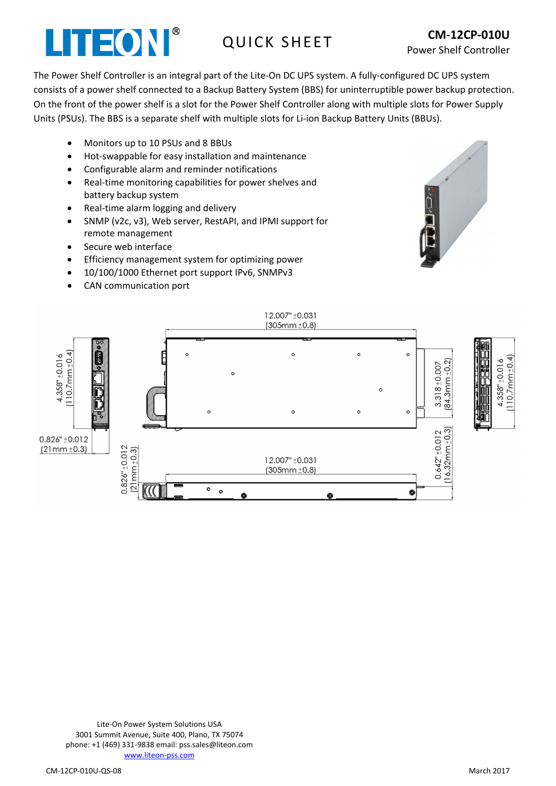## LITEON®

The Power Shelf Controller is an integral part of the Lite-On DC UPS system. A fully-configured DC UPS system consists of a power shelf connected to a Backup Battery System (BBS) for uninterruptible power backup protection. On the front of the power shelf is a slot for the Power Shelf Controller along with multiple slots for Power Supply Units (PSUs). The BBS is a separate shelf with multiple slots for Li-ion Backup Battery Units (BBUs).

- Monitors up to 10 PSUs and 8 BBUs
- Hot-swappable for easy installation and maintenance
- Configurable alarm and reminder notifications
- Real-time monitoring capabilities for power shelves and battery backup system
- Real-time alarm logging and delivery
- SNMP (v2c, v3), Web server, RestAPI, and IPMI support for remote management
- Secure web interface
- Efficiency management system for optimizing power
- 10/100/1000 Ethernet port support IPv6, SNMPv3
- CAN communication port